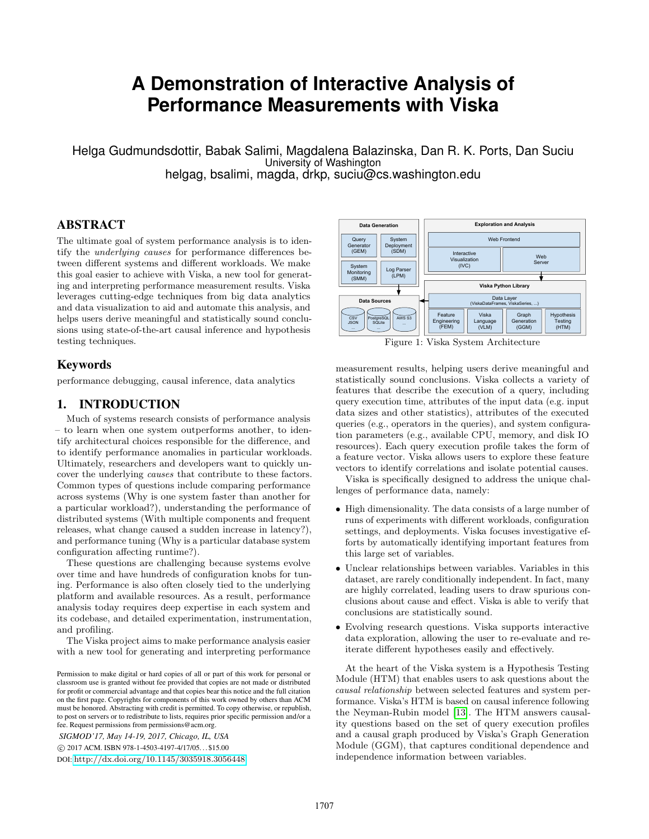# **A Demonstration of Interactive Analysis of Performance Measurements with Viska**

Helga Gudmundsdottir, Babak Salimi, Magdalena Balazinska, Dan R. K. Ports, Dan Suciu University of Washington helgag, bsalimi, magda, drkp, suciu@cs.washington.edu

# ABSTRACT

The ultimate goal of system performance analysis is to identify the underlying causes for performance differences between different systems and different workloads. We make this goal easier to achieve with Viska, a new tool for generating and interpreting performance measurement results. Viska leverages cutting-edge techniques from big data analytics and data visualization to aid and automate this analysis, and helps users derive meaningful and statistically sound conclusions using state-of-the-art causal inference and hypothesis testing techniques.

## Keywords

performance debugging, causal inference, data analytics

## 1. INTRODUCTION

Much of systems research consists of performance analysis – to learn when one system outperforms another, to identify architectural choices responsible for the difference, and to identify performance anomalies in particular workloads. Ultimately, researchers and developers want to quickly uncover the underlying causes that contribute to these factors. Common types of questions include comparing performance across systems (Why is one system faster than another for a particular workload?), understanding the performance of distributed systems (With multiple components and frequent releases, what change caused a sudden increase in latency?), and performance tuning (Why is a particular database system configuration affecting runtime?).

These questions are challenging because systems evolve over time and have hundreds of configuration knobs for tuning. Performance is also often closely tied to the underlying platform and available resources. As a result, performance analysis today requires deep expertise in each system and its codebase, and detailed experimentation, instrumentation, and profiling.

The Viska project aims to make performance analysis easier with a new tool for generating and interpreting performance

*SIGMOD'17, May 14-19, 2017, Chicago, IL, USA*

c 2017 ACM. ISBN 978-1-4503-4197-4/17/05. . . \$15.00

DOI: <http://dx.doi.org/10.1145/3035918.3056448>

<span id="page-0-0"></span>

Figure 1: Viska System Architecture

measurement results, helping users derive meaningful and statistically sound conclusions. Viska collects a variety of features that describe the execution of a query, including query execution time, attributes of the input data (e.g. input data sizes and other statistics), attributes of the executed queries (e.g., operators in the queries), and system configuration parameters (e.g., available CPU, memory, and disk IO resources). Each query execution profile takes the form of a feature vector. Viska allows users to explore these feature vectors to identify correlations and isolate potential causes.

Viska is specifically designed to address the unique challenges of performance data, namely:

- High dimensionality. The data consists of a large number of runs of experiments with different workloads, configuration settings, and deployments. Viska focuses investigative efforts by automatically identifying important features from this large set of variables.
- Unclear relationships between variables. Variables in this dataset, are rarely conditionally independent. In fact, many are highly correlated, leading users to draw spurious conclusions about cause and effect. Viska is able to verify that conclusions are statistically sound.
- Evolving research questions. Viska supports interactive data exploration, allowing the user to re-evaluate and reiterate different hypotheses easily and effectively.

At the heart of the Viska system is a Hypothesis Testing Module (HTM) that enables users to ask questions about the causal relationship between selected features and system performance. Viska's HTM is based on causal inference following the Neyman-Rubin model [\[13\]](#page-3-0). The HTM answers causality questions based on the set of query execution profiles and a causal graph produced by Viska's Graph Generation Module (GGM), that captures conditional dependence and independence information between variables.

Permission to make digital or hard copies of all or part of this work for personal or classroom use is granted without fee provided that copies are not made or distributed for profit or commercial advantage and that copies bear this notice and the full citation on the first page. Copyrights for components of this work owned by others than ACM must be honored. Abstracting with credit is permitted. To copy otherwise, or republish, to post on servers or to redistribute to lists, requires prior specific permission and/or a fee. Request permissions from permissions@acm.org.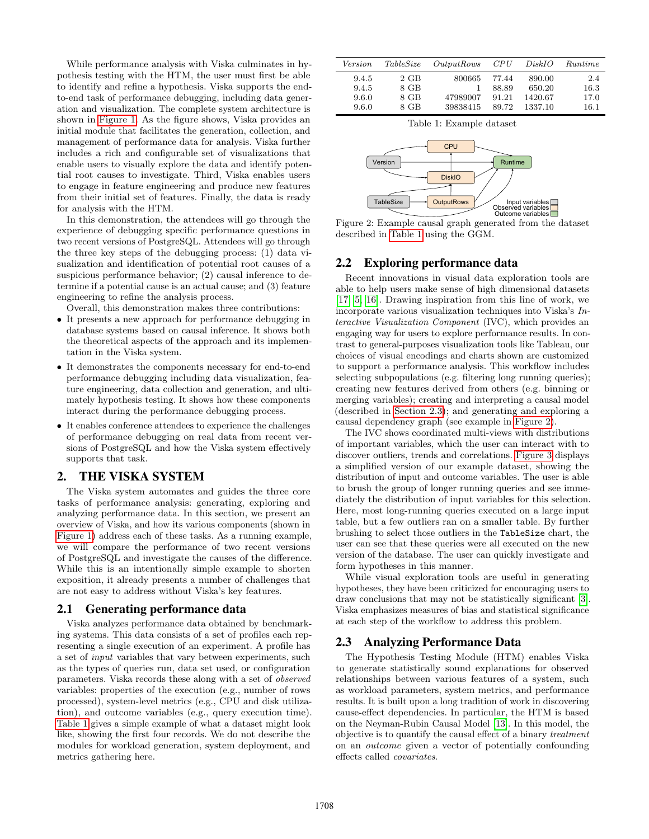While performance analysis with Viska culminates in hypothesis testing with the HTM, the user must first be able to identify and refine a hypothesis. Viska supports the endto-end task of performance debugging, including data generation and visualization. The complete system architecture is shown in [Figure 1.](#page-0-0) As the figure shows, Viska provides an initial module that facilitates the generation, collection, and management of performance data for analysis. Viska further includes a rich and configurable set of visualizations that enable users to visually explore the data and identify potential root causes to investigate. Third, Viska enables users to engage in feature engineering and produce new features from their initial set of features. Finally, the data is ready for analysis with the HTM.

In this demonstration, the attendees will go through the experience of debugging specific performance questions in two recent versions of PostgreSQL. Attendees will go through the three key steps of the debugging process: (1) data visualization and identification of potential root causes of a suspicious performance behavior; (2) causal inference to determine if a potential cause is an actual cause; and (3) feature engineering to refine the analysis process.

Overall, this demonstration makes three contributions:

- It presents a new approach for performance debugging in database systems based on causal inference. It shows both the theoretical aspects of the approach and its implementation in the Viska system.
- It demonstrates the components necessary for end-to-end performance debugging including data visualization, feature engineering, data collection and generation, and ultimately hypothesis testing. It shows how these components interact during the performance debugging process.
- It enables conference attendees to experience the challenges of performance debugging on real data from recent versions of PostgreSQL and how the Viska system effectively supports that task.

### 2. THE VISKA SYSTEM

The Viska system automates and guides the three core tasks of performance analysis: generating, exploring and analyzing performance data. In this section, we present an overview of Viska, and how its various components (shown in [Figure 1\)](#page-0-0) address each of these tasks. As a running example, we will compare the performance of two recent versions of PostgreSQL and investigate the causes of the difference. While this is an intentionally simple example to shorten exposition, it already presents a number of challenges that are not easy to address without Viska's key features.

#### 2.1 Generating performance data

Viska analyzes performance data obtained by benchmarking systems. This data consists of a set of profiles each representing a single execution of an experiment. A profile has a set of input variables that vary between experiments, such as the types of queries run, data set used, or configuration parameters. Viska records these along with a set of observed variables: properties of the execution (e.g., number of rows processed), system-level metrics (e.g., CPU and disk utilization), and outcome variables (e.g., query execution time). [Table 1](#page-1-0) gives a simple example of what a dataset might look like, showing the first four records. We do not describe the modules for workload generation, system deployment, and metrics gathering here.

<span id="page-1-0"></span>

| Version | TableSize | OutputRows | CPU   | DiskIO  | Runtime |
|---------|-----------|------------|-------|---------|---------|
| 9.4.5   | 2 GB      | 800665     | 77.44 | 890.00  | 2.4     |
| 9.4.5   | 8 GB      |            | 88.89 | 650.20  | 16.3    |
| 9.6.0   | 8 GB      | 47989007   | 91.21 | 1420.67 | 17.0    |
| 9.6.0   | 8 GB      | 39838415   | 89.72 | 1337.10 | 16.1    |

Table 1: Example dataset

<span id="page-1-2"></span>

Figure 2: Example causal graph generated from the dataset described in [Table 1](#page-1-0) using the GGM.

## 2.2 Exploring performance data

Recent innovations in visual data exploration tools are able to help users make sense of high dimensional datasets [\[17,](#page-3-1) [5,](#page-3-2) [16\]](#page-3-3). Drawing inspiration from this line of work, we incorporate various visualization techniques into Viska's Interactive Visualization Component (IVC), which provides an engaging way for users to explore performance results. In contrast to general-purposes visualization tools like Tableau, our choices of visual encodings and charts shown are customized to support a performance analysis. This workflow includes selecting subpopulations (e.g. filtering long running queries); creating new features derived from others (e.g. binning or merging variables); creating and interpreting a causal model (described in [Section 2.3\)](#page-1-1); and generating and exploring a causal dependency graph (see example in [Figure 2\)](#page-1-2).

The IVC shows coordinated multi-views with distributions of important variables, which the user can interact with to discover outliers, trends and correlations. [Figure 3](#page-2-0) displays a simplified version of our example dataset, showing the distribution of input and outcome variables. The user is able to brush the group of longer running queries and see immediately the distribution of input variables for this selection. Here, most long-running queries executed on a large input table, but a few outliers ran on a smaller table. By further brushing to select those outliers in the TableSize chart, the user can see that these queries were all executed on the new version of the database. The user can quickly investigate and form hypotheses in this manner.

While visual exploration tools are useful in generating hypotheses, they have been criticized for encouraging users to draw conclusions that may not be statistically significant [\[3\]](#page-3-4). Viska emphasizes measures of bias and statistical significance at each step of the workflow to address this problem.

### <span id="page-1-1"></span>2.3 Analyzing Performance Data

The Hypothesis Testing Module (HTM) enables Viska to generate statistically sound explanations for observed relationships between various features of a system, such as workload parameters, system metrics, and performance results. It is built upon a long tradition of work in discovering cause-effect dependencies. In particular, the HTM is based on the Neyman-Rubin Causal Model [\[13\]](#page-3-0). In this model, the objective is to quantify the causal effect of a binary treatment on an outcome given a vector of potentially confounding effects called covariates.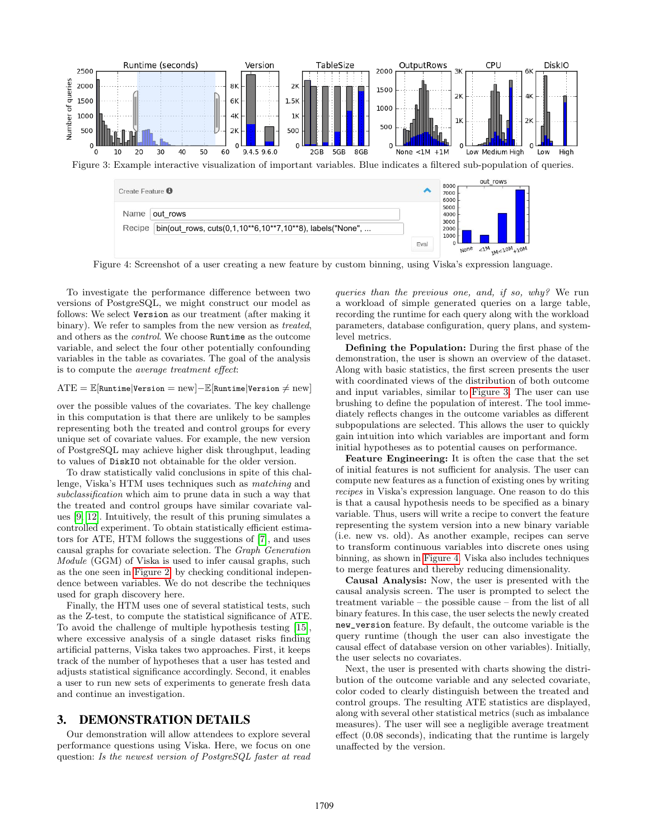<span id="page-2-0"></span>

<span id="page-2-1"></span>Figure 4: Screenshot of a user creating a new feature by custom binning, using Viska's expression language.

To investigate the performance difference between two versions of PostgreSQL, we might construct our model as follows: We select Version as our treatment (after making it binary). We refer to samples from the new version as treated, and others as the control. We choose Runtime as the outcome variable, and select the four other potentially confounding variables in the table as covariates. The goal of the analysis is to compute the average treatment effect:

#### $\text{ATE} = \mathbb{E}[\text{Runtime}|\text{Version} = \text{new}]-\mathbb{E}[\text{Runtime}|\text{Version} \neq \text{new}]$

over the possible values of the covariates. The key challenge in this computation is that there are unlikely to be samples representing both the treated and control groups for every unique set of covariate values. For example, the new version of PostgreSQL may achieve higher disk throughput, leading to values of DiskIO not obtainable for the older version.

To draw statistically valid conclusions in spite of this challenge, Viska's HTM uses techniques such as matching and subclassification which aim to prune data in such a way that the treated and control groups have similar covariate values [\[9,](#page-3-5) [12\]](#page-3-6). Intuitively, the result of this pruning simulates a controlled experiment. To obtain statistically efficient estimators for ATE, HTM follows the suggestions of [\[7\]](#page-3-7), and uses causal graphs for covariate selection. The Graph Generation Module (GGM) of Viska is used to infer causal graphs, such as the one seen in [Figure 2,](#page-1-2) by checking conditional independence between variables. We do not describe the techniques used for graph discovery here.

Finally, the HTM uses one of several statistical tests, such as the Z-test, to compute the statistical significance of ATE. To avoid the challenge of multiple hypothesis testing [\[15\]](#page-3-8), where excessive analysis of a single dataset risks finding artificial patterns, Viska takes two approaches. First, it keeps track of the number of hypotheses that a user has tested and adjusts statistical significance accordingly. Second, it enables a user to run new sets of experiments to generate fresh data and continue an investigation.

#### 3. DEMONSTRATION DETAILS

Our demonstration will allow attendees to explore several performance questions using Viska. Here, we focus on one question: Is the newest version of PostgreSQL faster at read queries than the previous one, and, if so, why? We run a workload of simple generated queries on a large table, recording the runtime for each query along with the workload parameters, database configuration, query plans, and systemlevel metrics.

None

 $~<1^M$ <sub>1</sub>M  $<$  10<sup>M</sup>  $+10^M$ 

Defining the Population: During the first phase of the demonstration, the user is shown an overview of the dataset. Along with basic statistics, the first screen presents the user with coordinated views of the distribution of both outcome and input variables, similar to [Figure 3.](#page-2-0) The user can use brushing to define the population of interest. The tool immediately reflects changes in the outcome variables as different subpopulations are selected. This allows the user to quickly gain intuition into which variables are important and form initial hypotheses as to potential causes on performance.

Feature Engineering: It is often the case that the set of initial features is not sufficient for analysis. The user can compute new features as a function of existing ones by writing recipes in Viska's expression language. One reason to do this is that a causal hypothesis needs to be specified as a binary variable. Thus, users will write a recipe to convert the feature representing the system version into a new binary variable (i.e. new vs. old). As another example, recipes can serve to transform continuous variables into discrete ones using binning, as shown in [Figure 4.](#page-2-1) Viska also includes techniques to merge features and thereby reducing dimensionality.

Causal Analysis: Now, the user is presented with the causal analysis screen. The user is prompted to select the treatment variable – the possible cause – from the list of all binary features. In this case, the user selects the newly created new\_version feature. By default, the outcome variable is the query runtime (though the user can also investigate the causal effect of database version on other variables). Initially, the user selects no covariates.

Next, the user is presented with charts showing the distribution of the outcome variable and any selected covariate, color coded to clearly distinguish between the treated and control groups. The resulting ATE statistics are displayed, along with several other statistical metrics (such as imbalance measures). The user will see a negligible average treatment effect (0.08 seconds), indicating that the runtime is largely unaffected by the version.